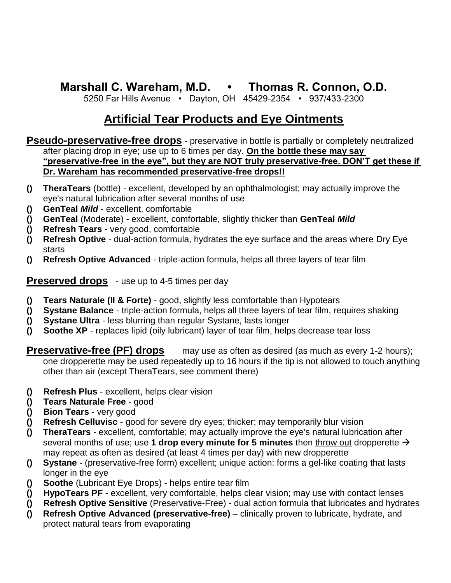## **Marshall C. Wareham, M.D. • Thomas R. Connon, O.D.**

5250 Far Hills Avenue • Dayton, OH 45429-2354 • 937/433-2300

## **Artificial Tear Products and Eye Ointments**

**Pseudo-preservative-free drops** - preservative in bottle is partially or completely neutralized after placing drop in eye; use up to 6 times per day. **On the bottle these may say "preservative-free in the eye", but they are NOT truly preservative-free. DON'T get these if Dr. Wareham has recommended preservative-free drops!!**

- **() TheraTears** (bottle) excellent, developed by an ophthalmologist; may actually improve the eye's natural lubrication after several months of use
- **() GenTeal** *Mild* excellent, comfortable
- **() GenTeal** (Moderate) excellent, comfortable, slightly thicker than **GenTeal** *Mild*
- **() Refresh Tears** very good, comfortable
- **() Refresh Optive**  dual-action formula, hydrates the eye surface and the areas where Dry Eye starts
- **() Refresh Optive Advanced**  triple-action formula, helps all three layers of tear film

**Preserved drops** - use up to 4-5 times per day

- **() Tears Naturale (II & Forte)** good, slightly less comfortable than Hypotears
- **() Systane Balance**  triple-action formula, helps all three layers of tear film, requires shaking
- **() Systane Ultra**  less blurring than regular Systane, lasts longer
- **() Soothe XP** replaces lipid (oily lubricant) layer of tear film, helps decrease tear loss

**Preservative-free (PF) drops** may use as often as desired (as much as every 1-2 hours); one dropperette may be used repeatedly up to 16 hours if the tip is not allowed to touch anything other than air (except TheraTears, see comment there)

- **() Refresh Plus** excellent, helps clear vision
- **() Tears Naturale Free** good
- **() Bion Tears** very good
- **() Refresh Celluvisc** good for severe dry eyes; thicker; may temporarily blur vision
- **() TheraTears** excellent, comfortable; may actually improve the eye's natural lubrication after several months of use; use 1 drop every minute for 5 minutes then throw out dropperette  $\rightarrow$ may repeat as often as desired (at least 4 times per day) with new dropperette
- **() Systane** (preservative-free form) excellent; unique action: forms a gel-like coating that lasts longer in the eye
- **() Soothe** (Lubricant Eye Drops) helps entire tear film
- **() HypoTears PF** excellent, very comfortable, helps clear vision; may use with contact lenses
- **() Refresh Optive Sensitive** (Preservative-Free) dual action formula that lubricates and hydrates
- **() Refresh Optive Advanced (preservative-free)**  clinically proven to lubricate, hydrate, and protect natural tears from evaporating